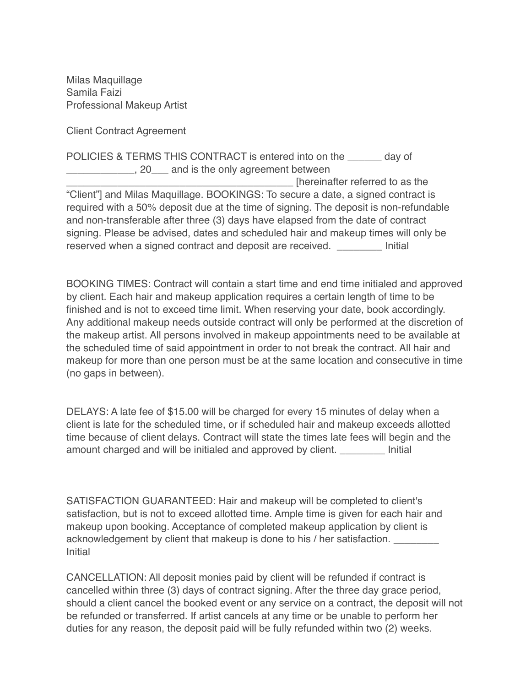Milas Maquillage Samila Faizi Professional Makeup Artist

Client Contract Agreement

POLICIES & TERMS THIS CONTRACT is entered into on the day of  $\blacksquare$ , 20 and is the only agreement between \_\_\_\_\_\_\_\_\_\_\_\_\_\_\_\_\_\_\_\_\_\_\_\_\_\_\_\_\_\_\_\_\_\_\_\_\_\_\_\_ [hereinafter referred to as the "Client"] and Milas Maquillage. BOOKINGS: To secure a date, a signed contract is required with a 50% deposit due at the time of signing. The deposit is non-refundable and non-transferable after three (3) days have elapsed from the date of contract signing. Please be advised, dates and scheduled hair and makeup times will only be reserved when a signed contract and deposit are received. \_\_\_\_\_\_\_\_ Initial

BOOKING TIMES: Contract will contain a start time and end time initialed and approved by client. Each hair and makeup application requires a certain length of time to be finished and is not to exceed time limit. When reserving your date, book accordingly. Any additional makeup needs outside contract will only be performed at the discretion of the makeup artist. All persons involved in makeup appointments need to be available at the scheduled time of said appointment in order to not break the contract. All hair and makeup for more than one person must be at the same location and consecutive in time (no gaps in between).

DELAYS: A late fee of \$15.00 will be charged for every 15 minutes of delay when a client is late for the scheduled time, or if scheduled hair and makeup exceeds allotted time because of client delays. Contract will state the times late fees will begin and the amount charged and will be initialed and approved by client. Thitial

SATISFACTION GUARANTEED: Hair and makeup will be completed to client's satisfaction, but is not to exceed allotted time. Ample time is given for each hair and makeup upon booking. Acceptance of completed makeup application by client is acknowledgement by client that makeup is done to his / her satisfaction. \_\_\_\_\_\_ Initial

CANCELLATION: All deposit monies paid by client will be refunded if contract is cancelled within three (3) days of contract signing. After the three day grace period, should a client cancel the booked event or any service on a contract, the deposit will not be refunded or transferred. If artist cancels at any time or be unable to perform her duties for any reason, the deposit paid will be fully refunded within two (2) weeks.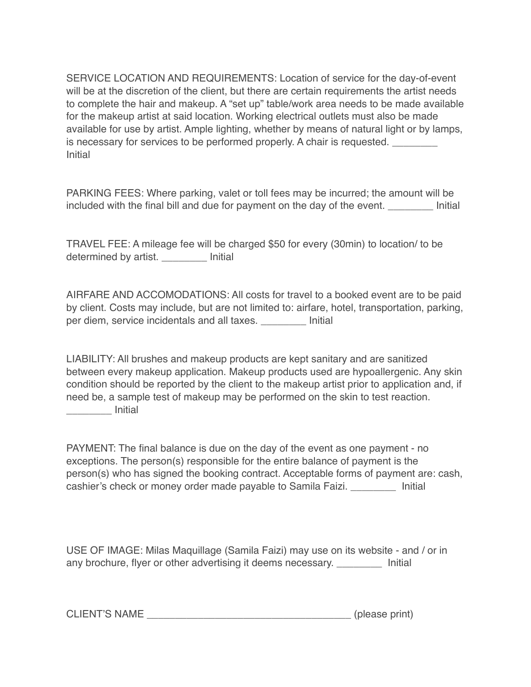SERVICE LOCATION AND REQUIREMENTS: Location of service for the day-of-event will be at the discretion of the client, but there are certain requirements the artist needs to complete the hair and makeup. A "set up" table/work area needs to be made available for the makeup artist at said location. Working electrical outlets must also be made available for use by artist. Ample lighting, whether by means of natural light or by lamps, is necessary for services to be performed properly. A chair is requested. Initial

PARKING FEES: Where parking, valet or toll fees may be incurred; the amount will be included with the final bill and due for payment on the day of the event. \_\_\_\_\_\_\_\_ Initial

TRAVEL FEE: A mileage fee will be charged \$50 for every (30min) to location/ to be determined by artist. \_\_\_\_\_\_\_\_ Initial

AIRFARE AND ACCOMODATIONS: All costs for travel to a booked event are to be paid by client. Costs may include, but are not limited to: airfare, hotel, transportation, parking, per diem, service incidentals and all taxes. \_\_\_\_\_\_\_\_ Initial

LIABILITY: All brushes and makeup products are kept sanitary and are sanitized between every makeup application. Makeup products used are hypoallergenic. Any skin condition should be reported by the client to the makeup artist prior to application and, if need be, a sample test of makeup may be performed on the skin to test reaction. \_\_\_\_\_\_\_\_ Initial

PAYMENT: The final balance is due on the day of the event as one payment - no exceptions. The person(s) responsible for the entire balance of payment is the person(s) who has signed the booking contract. Acceptable forms of payment are: cash, cashier's check or money order made payable to Samila Faizi. \_\_\_\_\_\_\_\_ Initial

USE OF IMAGE: Milas Maquillage (Samila Faizi) may use on its website - and / or in any brochure, flyer or other advertising it deems necessary. Thitial

CLIENT'S NAME (please print)